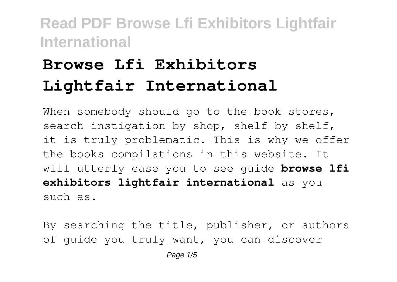# **Browse Lfi Exhibitors Lightfair International**

When somebody should go to the book stores, search instigation by shop, shelf by shelf, it is truly problematic. This is why we offer the books compilations in this website. It will utterly ease you to see guide **browse lfi exhibitors lightfair international** as you such as.

By searching the title, publisher, or authors of guide you truly want, you can discover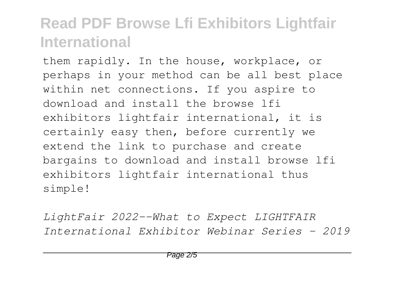them rapidly. In the house, workplace, or perhaps in your method can be all best place within net connections. If you aspire to download and install the browse lfi exhibitors lightfair international, it is certainly easy then, before currently we extend the link to purchase and create bargains to download and install browse lfi exhibitors lightfair international thus simple!

*LightFair 2022--What to Expect LIGHTFAIR International Exhibitor Webinar Series - 2019*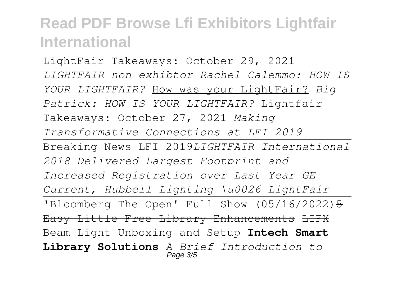LightFair Takeaways: October 29, 2021 *LIGHTFAIR non exhibtor Rachel Calemmo: HOW IS YOUR LIGHTFAIR?* How was your LightFair? *Big Patrick: HOW IS YOUR LIGHTFAIR?* Lightfair Takeaways: October 27, 2021 *Making Transformative Connections at LFI 2019* Breaking News LFI 2019*LIGHTFAIR International 2018 Delivered Largest Footprint and Increased Registration over Last Year GE Current, Hubbell Lighting \u0026 LightFair* 'Bloomberg The Open' Full Show (05/16/2022) 5 Easy Little Free Library Enhancements LIFX Beam Light Unboxing and Setup **Intech Smart Library Solutions** *A Brief Introduction to* Page 3/5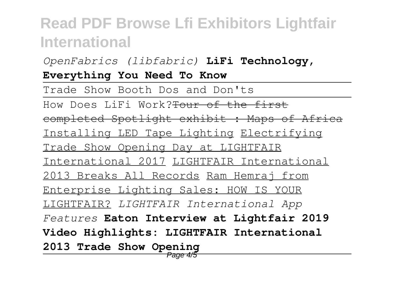*OpenFabrics (libfabric)* **LiFi Technology,**

#### **Everything You Need To Know**

Trade Show Booth Dos and Don'ts

How Does LiFi Work?Tour of the first

completed Spotlight exhibit : Maps of Africa

Installing LED Tape Lighting Electrifying

Trade Show Opening Day at LIGHTFAIR

International 2017 LIGHTFAIR International

2013 Breaks All Records Ram Hemraj from

Enterprise Lighting Sales: HOW IS YOUR

LIGHTFAIR? *LIGHTFAIR International App*

*Features* **Eaton Interview at Lightfair 2019 Video Highlights: LIGHTFAIR International 2013 Trade Show Opening**